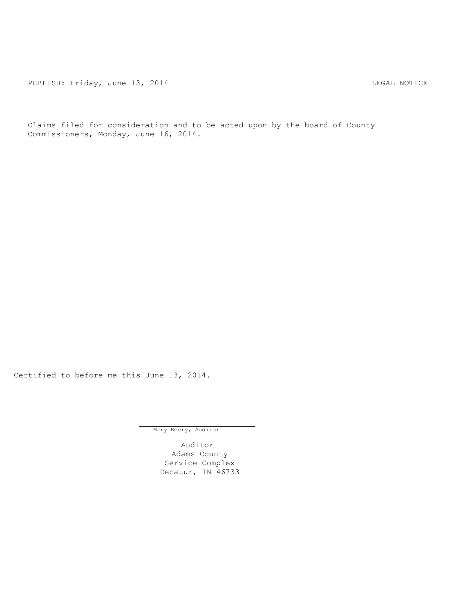PUBLISH: Friday, June 13, 2014 CHA CHANGE AND THE REGAL NOTICE

Claims filed for consideration and to be acted upon by the board of County Commissioners, Monday, June 16, 2014.

Certified to before me this June 13, 2014.

Mary Beery, Auditor

Auditor Adams County Service Complex Decatur, IN 46733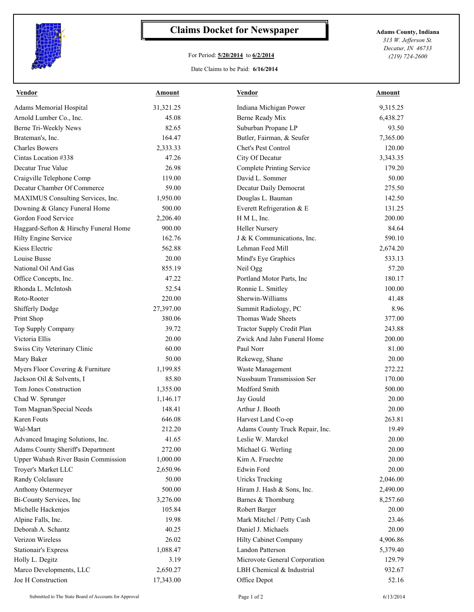

## **Claims Docket for Newspaper Adams County, Indiana**

## For Period: **5/20/2014** to **6/2/2014**

Date Claims to be Paid: **6/16/2014**

*313 W. Jefferson St. Decatur, IN 46733 (219) 724-2600*

| <b>Vendor</b>                                                     | <b>Amount</b>        | <b>Vendor</b>                    | <b>Amount</b>  |
|-------------------------------------------------------------------|----------------------|----------------------------------|----------------|
| <b>Adams Memorial Hospital</b>                                    | 31,321.25            | Indiana Michigan Power           | 9,315.25       |
| Arnold Lumber Co., Inc.                                           | 45.08                | Berne Ready Mix                  | 6,438.27       |
| Berne Tri-Weekly News                                             | 82.65                | Suburban Propane LP              | 93.50          |
| Brateman's, Inc.                                                  | 164.47               | Butler, Fairman, & Seufer        | 7,365.00       |
| <b>Charles Bowers</b>                                             | 2,333.33             | Chet's Pest Control              | 120.00         |
| Cintas Location #338                                              | 47.26                | City Of Decatur                  | 3,343.35       |
| Decatur True Value                                                | 26.98                | <b>Complete Printing Service</b> | 179.20         |
| Craigville Telephone Comp                                         | 119.00               | David L. Sommer                  | 50.00          |
| Decatur Chamber Of Commerce                                       | 59.00                | Decatur Daily Democrat           | 275.50         |
| MAXIMUS Consulting Services, Inc.                                 | 1,950.00             | Douglas L. Bauman                | 142.50         |
| Downing & Glancy Funeral Home                                     | 500.00               | Everett Refrigeration & E        | 131.25         |
| Gordon Food Service                                               | 2,206.40             | H M L, Inc.                      | 200.00         |
| Haggard-Sefton & Hirschy Funeral Home                             | 900.00               | <b>Heller Nursery</b>            | 84.64          |
| Hilty Engine Service                                              | 162.76               | J & K Communications, Inc.       | 590.10         |
| Kiess Electric                                                    | 562.88               | Lehman Feed Mill                 | 2,674.20       |
| Louise Busse                                                      | 20.00                | Mind's Eye Graphics              | 533.13         |
| National Oil And Gas                                              | 855.19               | Neil Ogg                         | 57.20          |
| Office Concepts, Inc.                                             | 47.22                | Portland Motor Parts, Inc        | 180.17         |
| Rhonda L. McIntosh                                                | 52.54                | Ronnie L. Smitley                | 100.00         |
| Roto-Rooter                                                       | 220.00               | Sherwin-Williams                 | 41.48          |
| <b>Shifferly Dodge</b>                                            | 27,397.00            | Summit Radiology, PC             | 8.96           |
| Print Shop                                                        | 380.06               | Thomas Wade Sheets               | 377.00         |
| Top Supply Company                                                | 39.72                | Tractor Supply Credit Plan       | 243.88         |
| Victoria Ellis                                                    | 20.00                | Zwick And Jahn Funeral Home      | 200.00         |
| Swiss City Veterinary Clinic                                      | 60.00                | Paul Norr                        | 81.00          |
| Mary Baker                                                        | 50.00                | Rekeweg, Shane                   | 20.00          |
| Myers Floor Covering & Furniture                                  | 1,199.85             | Waste Management                 | 272.22         |
| Jackson Oil & Solvents, I                                         | 85.80                | Nussbaum Transmission Ser        | 170.00         |
| Tom Jones Construction                                            | 1,355.00             | Medford Smith                    | 500.00         |
| Chad W. Sprunger                                                  | 1,146.17             | Jay Gould                        | 20.00          |
| Tom Magnan/Special Needs                                          | 148.41               | Arthur J. Booth                  | 20.00          |
| Karen Fouts                                                       | 646.08               | Harvest Land Co-op               | 263.81         |
| Wal-Mart                                                          | 212.20               | Adams County Truck Repair, Inc.  |                |
| Advanced Imaging Solutions, Inc.                                  | 41.65                | Leslie W. Marckel                | 19.49<br>20.00 |
|                                                                   | 272.00               |                                  | 20.00          |
| <b>Adams County Sheriff's Department</b>                          |                      | Michael G. Werling               |                |
| <b>Upper Wabash River Basin Commission</b><br>Troyer's Market LLC | 1,000.00<br>2,650.96 | Kim A. Fruechte<br>Edwin Ford    | 20.00          |
|                                                                   |                      |                                  | 20.00          |
| Randy Colclasure                                                  | 50.00                | <b>Uricks Trucking</b>           | 2,046.00       |
| Anthony Ostermeyer                                                | 500.00               | Hiram J. Hash & Sons, Inc.       | 2,490.00       |
| Bi-County Services, Inc                                           | 3,276.00             | Barnes & Thornburg               | 8,257.60       |
| Michelle Hackenjos                                                | 105.84               | Robert Barger                    | 20.00          |
| Alpine Falls, Inc.                                                | 19.98                | Mark Mitchel / Petty Cash        | 23.46          |
| Deborah A. Schantz                                                | 40.25                | Daniel J. Michaels               | 20.00          |
| Verizon Wireless                                                  | 26.02                | Hilty Cabinet Company            | 4,906.86       |
| <b>Stationair's Express</b>                                       | 1,088.47             | Landon Patterson                 | 5,379.40       |
| Holly L. Degitz                                                   | 3.19                 | Microvote General Corporation    | 129.79         |
| Marco Developments, LLC                                           | 2,650.27             | LBH Chemical & Industrial        | 932.67         |
| Joe H Construction                                                | 17,343.00            | Office Depot                     | 52.16          |